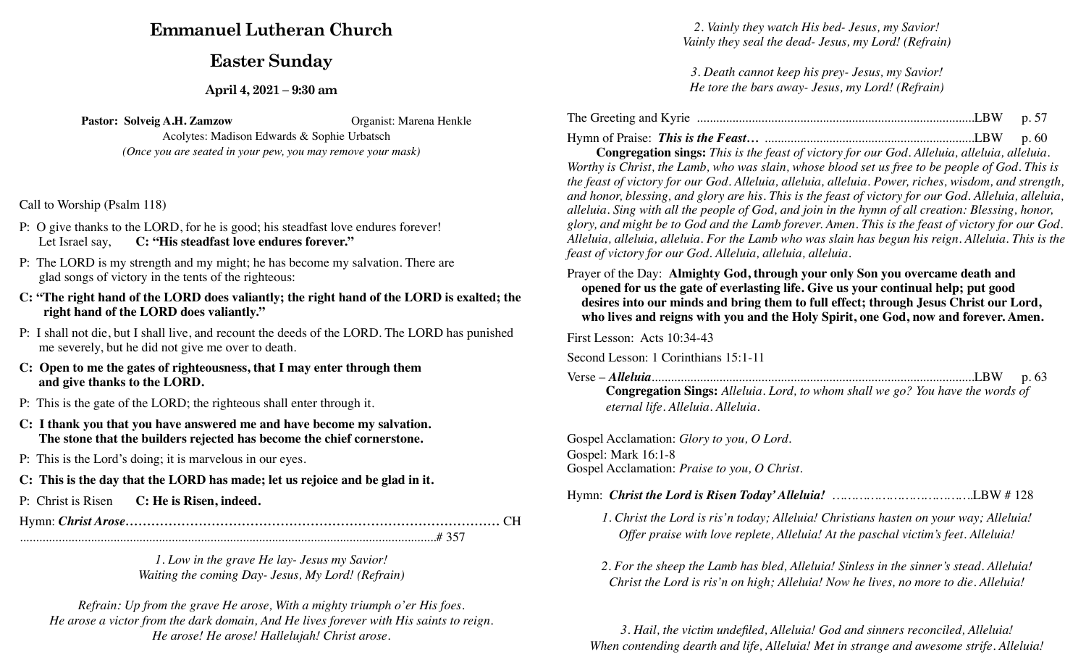# **Emmanuel Lutheran Church**

## **Easter Sunday**

**April 4, 2021 – 9:30 am**

**Pastor: Solveig A.H. Zamzow** Organist: Marena Henkle

Acolytes: Madison Edwards & Sophie Urbatsch *(Once you are seated in your pew, you may remove your mask)* 

Call to Worship (Psalm 118)

- P: O give thanks to the LORD, for he is good; his steadfast love endures forever! Let Israel say, **C: "His steadfast love endures forever."**
- P: The LORD is my strength and my might; he has become my salvation. There are glad songs of victory in the tents of the righteous:
- **C: "The right hand of the LORD does valiantly; the right hand of the LORD is exalted; the right hand of the LORD does valiantly."**
- P: I shall not die, but I shall live, and recount the deeds of the LORD. The LORD has punished me severely, but he did not give me over to death.
- **C: Open to me the gates of righteousness, that I may enter through them and give thanks to the LORD.**
- P: This is the gate of the LORD; the righteous shall enter through it.
- **C: I thank you that you have answered me and have become my salvation. The stone that the builders rejected has become the chief cornerstone.**
- P: This is the Lord's doing; it is marvelous in our eyes.
- **C: This is the day that the LORD has made; let us rejoice and be glad in it.**
- P: Christ is Risen **C: He is Risen, indeed.**

Hymn: *Christ Arose……………………………………………………………………………* CH .................................................................................................................................# 357

> *1. Low in the grave He lay- Jesus my Savior! Waiting the coming Day- Jesus, My Lord! (Refrain)*

*Refrain: Up from the grave He arose, With a mighty triumph o'er His foes. He arose a victor from the dark domain, And He lives forever with His saints to reign. He arose! He arose! Hallelujah! Christ arose.*

*2. Vainly they watch His bed- Jesus, my Savior! Vainly they seal the dead- Jesus, my Lord! (Refrain)* 

*3. Death cannot keep his prey- Jesus, my Savior! He tore the bars away- Jesus, my Lord! (Refrain)* 

| The Greeting and Kyrie |  |
|------------------------|--|
|                        |  |

Hymn of Praise: *This is the Feast…* .................................................................LBW p. 60

 **Congregation sings:** *This is the feast of victory for our God. Alleluia, alleluia, alleluia. Worthy is Christ, the Lamb, who was slain, whose blood set us free to be people of God. This is the feast of victory for our God. Alleluia, alleluia, alleluia. Power, riches, wisdom, and strength, and honor, blessing, and glory are his. This is the feast of victory for our God. Alleluia, alleluia, alleluia. Sing with all the people of God, and join in the hymn of all creation: Blessing, honor, glory, and might be to God and the Lamb forever. Amen. This is the feast of victory for our God. Alleluia, alleluia, alleluia. For the Lamb who was slain has begun his reign. Alleluia. This is the feast of victory for our God. Alleluia, alleluia, alleluia.*

Prayer of the Day: **Almighty God, through your only Son you overcame death and opened for us the gate of everlasting life. Give us your continual help; put good desires into our minds and bring them to full effect; through Jesus Christ our Lord, who lives and reigns with you and the Holy Spirit, one God, now and forever. Amen.**

First Lesson: Acts 10:34-43

Second Lesson: 1 Corinthians 15:1-11

Verse – *Alleluia*....................................................................................................LBW p. 63 **Congregation Sings:** *Alleluia. Lord, to whom shall we go? You have the words of eternal life. Alleluia. Alleluia.* 

Gospel Acclamation: *Glory to you, O Lord.*  Gospel: Mark 16:1-8 Gospel Acclamation: *Praise to you, O Christ.* 

- *1. Christ the Lord is ris'n today; Alleluia! Christians hasten on your way; Alleluia! Offer praise with love replete, Alleluia! At the paschal victim's feet. Alleluia!*
- *2. For the sheep the Lamb has bled, Alleluia! Sinless in the sinner's stead. Alleluia! Christ the Lord is ris'n on high; Alleluia! Now he lives, no more to die. Alleluia!*

*3. Hail, the victim undefiled, Alleluia! God and sinners reconciled, Alleluia! When contending dearth and life, Alleluia! Met in strange and awesome strife. Alleluia!*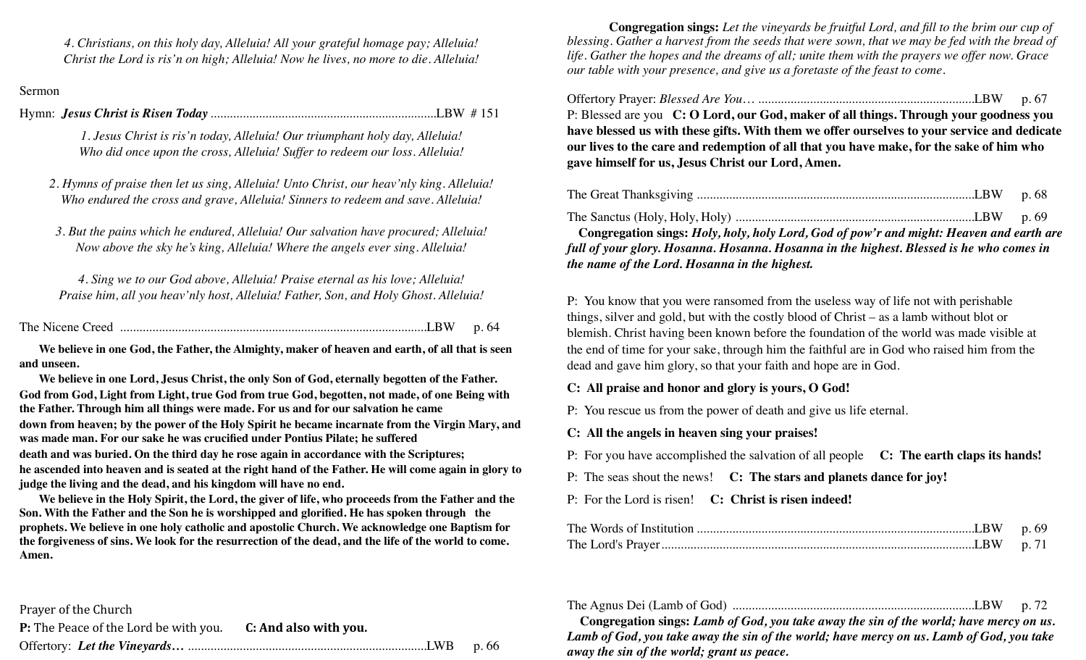*4. Christians, on this holy day, Alleluia! All your grateful homage pay; Alleluia! Christ the Lord is ris'n on high; Alleluia! Now he lives, no more to die. Alleluia!*

#### Sermon

Hymn: *Jesus Christ is Risen Today* ......................................................................LBW # 151

*1. Jesus Christ is ris'n today, Alleluia! Our triumphant holy day, Alleluia! Who did once upon the cross, Alleluia! Suffer to redeem our loss. Alleluia!* 

*2. Hymns of praise then let us sing, Alleluia! Unto Christ, our heav'nly king. Alleluia! Who endured the cross and grave, Alleluia! Sinners to redeem and save. Alleluia!* 

*3. But the pains which he endured, Alleluia! Our salvation have procured; Alleluia! Now above the sky he's king, Alleluia! Where the angels ever sing. Alleluia!* 

*4. Sing we to our God above, Alleluia! Praise eternal as his love; Alleluia! Praise him, all you heav'nly host, Alleluia! Father, Son, and Holy Ghost. Alleluia!*

| $\cdot w$ |  |
|-----------|--|
|           |  |

**We believe in one God, the Father, the Almighty, maker of heaven and earth, of all that is seen and unseen.**

**We believe in one Lord, Jesus Christ, the only Son of God, eternally begotten of the Father. God from God, Light from Light, true God from true God, begotten, not made, of one Being with the Father. Through him all things were made. For us and for our salvation he came down from heaven; by the power of the Holy Spirit he became incarnate from the Virgin Mary, and was made man. For our sake he was crucified under Pontius Pilate; he suffered death and was buried. On the third day he rose again in accordance with the Scriptures; he ascended into heaven and is seated at the right hand of the Father. He will come again in glory to judge the living and the dead, and his kingdom will have no end.** 

**We believe in the Holy Spirit, the Lord, the giver of life, who proceeds from the Father and the Son. With the Father and the Son he is worshipped and glorified. He has spoken through the prophets. We believe in one holy catholic and apostolic Church. We acknowledge one Baptism for the forgiveness of sins. We look for the resurrection of the dead, and the life of the world to come. Amen.** 

Prayer of the Church **P:** The Peace of the Lord be with you. **C: And also with you.** Offertory: *Let the Vineyards…* ..........................................................................LWB p. 66

 **Congregation sings:** *Let the vineyards be fruitful Lord, and fill to the brim our cup of blessing. Gather a harvest from the seeds that were sown, that we may be fed with the bread of life. Gather the hopes and the dreams of all; unite them with the prayers we offer now. Grace our table with your presence, and give us a foretaste of the feast to come.*

Offertory Prayer: *Blessed Are You*… ...................................................................LBW p. 67

P: Blessed are you **C: O Lord, our God, maker of all things. Through your goodness you have blessed us with these gifts. With them we offer ourselves to your service and dedicate our lives to the care and redemption of all that you have make, for the sake of him who gave himself for us, Jesus Christ our Lord, Amen.** 

|--|--|--|

The Sanctus (Holy, Holy, Holy) ..........................................................................LBW p. 69

**Congregation sings:** *Holy, holy, holy Lord, God of pow'r and might: Heaven and earth are full of your glory. Hosanna. Hosanna. Hosanna in the highest. Blessed is he who comes in the name of the Lord. Hosanna in the highest.*

P: You know that you were ransomed from the useless way of life not with perishable things, silver and gold, but with the costly blood of Christ – as a lamb without blot or blemish. Christ having been known before the foundation of the world was made visible at the end of time for your sake, through him the faithful are in God who raised him from the dead and gave him glory, so that your faith and hope are in God.

#### **C: All praise and honor and glory is yours, O God!**

P: You rescue us from the power of death and give us life eternal.

**C: All the angels in heaven sing your praises!** 

P: For you have accomplished the salvation of all people **C: The earth claps its hands!** 

P: The seas shout the news! **C: The stars and planets dance for joy!**

P: For the Lord is risen! **C: Christ is risen indeed!** 

|--|--|--|

**Congregation sings:** *Lamb of God, you take away the sin of the world; have mercy on us. Lamb of God, you take away the sin of the world; have mercy on us. Lamb of God, you take away the sin of the world; grant us peace.*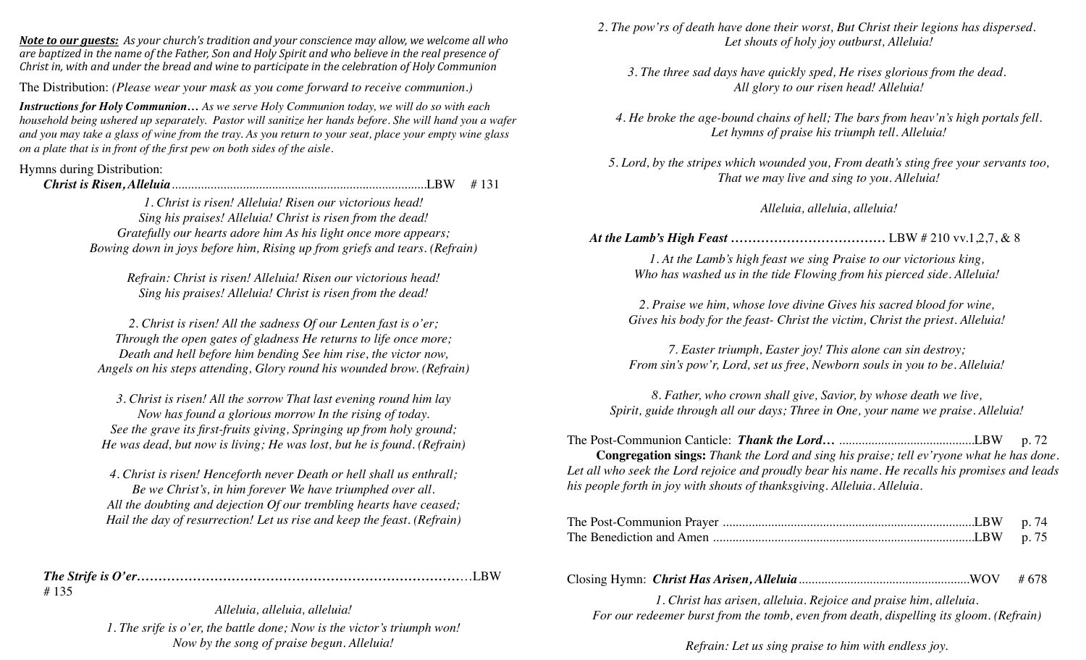*Note to our guests:* As your church's tradition and your conscience may allow, we welcome all who *are baptized in the name of the Father, Son and Holy Spirit and who believe in the real presence of Christ* in, with and under the bread and wine to participate in the celebration of Holy Communion

The Distribution: *(Please wear your mask as you come forward to receive communion.)* 

*Instructions for Holy Communion… As we serve Holy Communion today, we will do so with each household being ushered up separately. Pastor will sanitize her hands before. She will hand you a wafer and you may take a glass of wine from the tray. As you return to your seat, place your empty wine glass on a plate that is in front of the first pew on both sides of the aisle.* 

#### Hymns during Distribution:

*Christ is Risen, Alleluia*...............................................................................LBW # 131

*1. Christ is risen! Alleluia! Risen our victorious head! Sing his praises! Alleluia! Christ is risen from the dead! Gratefully our hearts adore him As his light once more appears; Bowing down in joys before him, Rising up from griefs and tears. (Refrain)*

*Refrain: Christ is risen! Alleluia! Risen our victorious head! Sing his praises! Alleluia! Christ is risen from the dead!*

*2. Christ is risen! All the sadness Of our Lenten fast is o'er; Through the open gates of gladness He returns to life once more; Death and hell before him bending See him rise, the victor now, Angels on his steps attending, Glory round his wounded brow. (Refrain)*

*3. Christ is risen! All the sorrow That last evening round him lay Now has found a glorious morrow In the rising of today. See the grave its first-fruits giving, Springing up from holy ground; He was dead, but now is living; He was lost, but he is found. (Refrain)* 

*4. Christ is risen! Henceforth never Death or hell shall us enthrall; Be we Christ's, in him forever We have triumphed over all. All the doubting and dejection Of our trembling hearts have ceased; Hail the day of resurrection! Let us rise and keep the feast. (Refrain)* 

*The Strife is O'er…………………………………………………………………*…LBW # 135

> *Alleluia, alleluia, alleluia! 1. The srife is o'er, the battle done; Now is the victor's triumph won! Now by the song of praise begun. Alleluia!*

*2. The pow'rs of death have done their worst, But Christ their legions has dispersed. Let shouts of holy joy outburst, Alleluia!* 

*3. The three sad days have quickly sped, He rises glorious from the dead. All glory to our risen head! Alleluia!* 

*4. He broke the age-bound chains of hell; The bars from heav'n's high portals fell. Let hymns of praise his triumph tell. Alleluia!*

*5. Lord, by the stripes which wounded you, From death's sting free your servants too, That we may live and sing to you. Alleluia!* 

#### *Alleluia, alleluia, alleluia!*

 *At the Lamb's High Feast ………………………………* LBW # 210 vv.1,2,7, & 8

*1. At the Lamb's high feast we sing Praise to our victorious king, Who has washed us in the tide Flowing from his pierced side. Alleluia!*

*2. Praise we him, whose love divine Gives his sacred blood for wine, Gives his body for the feast- Christ the victim, Christ the priest. Alleluia!* 

*7. Easter triumph, Easter joy! This alone can sin destroy; From sin's pow'r, Lord, set us free, Newborn souls in you to be. Alleluia!* 

*8. Father, who crown shall give, Savior, by whose death we live, Spirit, guide through all our days; Three in One, your name we praise. Alleluia!* 

The Post-Communion Canticle: *Thank the Lord…* ..........................................LBW p. 72

 **Congregation sings:** *Thank the Lord and sing his praise; tell ev'ryone what he has done. Let all who seek the Lord rejoice and proudly bear his name. He recalls his promises and leads his people forth in joy with shouts of thanksgiving. Alleluia. Alleluia.*

*1. Christ has arisen, alleluia. Rejoice and praise him, alleluia. For our redeemer burst from the tomb, even from death, dispelling its gloom. (Refrain)*

*Refrain: Let us sing praise to him with endless joy.*